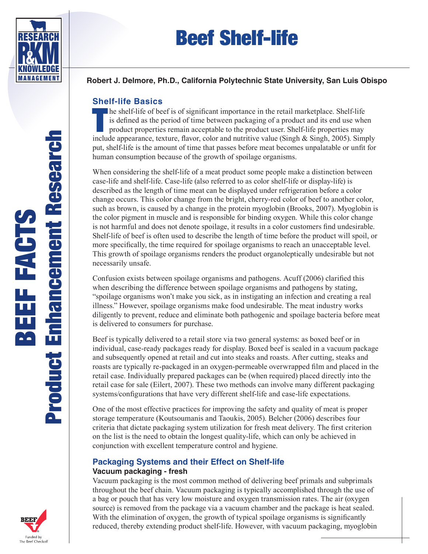

# Beef Shelf-life

## **Robert J. Delmore, Ph.D., California Polytechnic State University, San Luis Obispo**

## **Shelf-life Basics**

he shelf-life of beef is of significant importance in the retail marketplace. Shelf-life is defined as the period of time between packaging of a product and its end use when product properties remain acceptable to the prod he shelf-life of beef is of significant importance in the retail marketplace. Shelf-life is defined as the period of time between packaging of a product and its end use when product properties remain acceptable to the product user. Shelf-life properties may put, shelf-life is the amount of time that passes before meat becomes unpalatable or unfit for human consumption because of the growth of spoilage organisms.

When considering the shelf-life of a meat product some people make a distinction between case-life and shelf-life. Case-life (also referred to as color shelf-life or display-life) is described as the length of time meat can be displayed under refrigeration before a color change occurs. This color change from the bright, cherry-red color of beef to another color, such as brown, is caused by a change in the protein myoglobin (Brooks, 2007). Myoglobin is the color pigment in muscle and is responsible for binding oxygen. While this color change is not harmful and does not denote spoilage, it results in a color customers find undesirable. Shelf-life of beef is often used to describe the length of time before the product will spoil, or more specifically, the time required for spoilage organisms to reach an unacceptable level. This growth of spoilage organisms renders the product organoleptically undesirable but not necessarily unsafe.

Confusion exists between spoilage organisms and pathogens. Acuff (2006) clarified this when describing the difference between spoilage organisms and pathogens by stating, "spoilage organisms won't make you sick, as in instigating an infection and creating a real illness." However, spoilage organisms make food undesirable. The meat industry works diligently to prevent, reduce and eliminate both pathogenic and spoilage bacteria before meat is delivered to consumers for purchase.

Beef is typically delivered to a retail store via two general systems: as boxed beef or in individual, case-ready packages ready for display. Boxed beef is sealed in a vacuum package and subsequently opened at retail and cut into steaks and roasts. After cutting, steaks and roasts are typically re-packaged in an oxygen-permeable overwrapped film and placed in the retail case. Individually prepared packages can be (when required) placed directly into the retail case for sale (Eilert, 2007). These two methods can involve many different packaging systems/configurations that have very different shelf-life and case-life expectations.

One of the most effective practices for improving the safety and quality of meat is proper storage temperature (Koutsoumanis and Taoukis, 2005). Belcher (2006) describes four criteria that dictate packaging system utilization for fresh meat delivery. The first criterion on the list is the need to obtain the longest quality-life, which can only be achieved in conjunction with excellent temperature control and hygiene.

## **Packaging Systems and their Effect on Shelf-life Vacuum packaging - fresh**

Vacuum packaging is the most common method of delivering beef primals and subprimals throughout the beef chain. Vacuum packaging is typically accomplished through the use of a bag or pouch that has very low moisture and oxygen transmission rates. The air (oxygen source) is removed from the package via a vacuum chamber and the package is heat sealed. With the elimination of oxygen, the growth of typical spoilage organisms is significantly reduced, thereby extending product shelf-life. However, with vacuum packaging, myoglobin

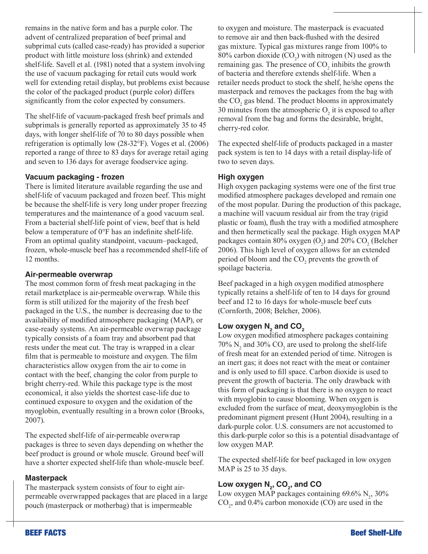remains in the native form and has a purple color. The advent of centralized preparation of beef primal and subprimal cuts (called case-ready) has provided a superior product with little moisture loss (shrink) and extended shelf-life. Savell et al. (1981) noted that a system involving the use of vacuum packaging for retail cuts would work well for extending retail display, but problems exist because the color of the packaged product (purple color) differs significantly from the color expected by consumers.

The shelf-life of vacuum-packaged fresh beef primals and subprimals is generally reported as approximately 35 to 45 days, with longer shelf-life of 70 to 80 days possible when refrigeration is optimally low (28-32°F). Voges et al. (2006) reported a range of three to 83 days for average retail aging and seven to 136 days for average foodservice aging.

## **Vacuum packaging - frozen**

There is limited literature available regarding the use and shelf-life of vacuum packaged and frozen beef. This might be because the shelf-life is very long under proper freezing temperatures and the maintenance of a good vacuum seal. From a bacterial shelf-life point of view, beef that is held below a temperature of 0°F has an indefinite shelf-life. From an optimal quality standpoint, vacuum–packaged, frozen, whole-muscle beef has a recommended shelf-life of 12 months.

#### **Air-permeable overwrap**

The most common form of fresh meat packaging in the retail marketplace is air-permeable overwrap. While this form is still utilized for the majority of the fresh beef packaged in the U.S., the number is decreasing due to the availability of modified atmosphere packaging (MAP), or case-ready systems. An air-permeable overwrap package typically consists of a foam tray and absorbent pad that rests under the meat cut. The tray is wrapped in a clear film that is permeable to moisture and oxygen. The film characteristics allow oxygen from the air to come in contact with the beef, changing the color from purple to bright cherry-red. While this package type is the most economical, it also yields the shortest case-life due to continued exposure to oxygen and the oxidation of the myoglobin, eventually resulting in a brown color (Brooks, 2007).

The expected shelf-life of air-permeable overwrap packages is three to seven days depending on whether the beef product is ground or whole muscle. Ground beef will have a shorter expected shelf-life than whole-muscle beef.

## **Masterpack**

The masterpack system consists of four to eight airpermeable overwrapped packages that are placed in a large pouch (masterpack or motherbag) that is impermeable

to oxygen and moisture. The masterpack is evacuated to remove air and then back-flushed with the desired gas mixture. Typical gas mixtures range from 100% to 80% carbon dioxide  $(CO_2)$  with nitrogen (N) used as the remaining gas. The presence of  $CO<sub>2</sub>$  inhibits the growth of bacteria and therefore extends shelf-life. When a retailer needs product to stock the shelf, he/she opens the masterpack and removes the packages from the bag with the  $CO<sub>2</sub>$  gas blend. The product blooms in approximately 30 minutes from the atmospheric  $O_2$  it is exposed to after removal from the bag and forms the desirable, bright, cherry-red color.

The expected shelf-life of products packaged in a master pack system is ten to 14 days with a retail display-life of two to seven days.

#### **High oxygen**

High oxygen packaging systems were one of the first true modified atmosphere packages developed and remain one of the most popular. During the production of this package, a machine will vacuum residual air from the tray (rigid plastic or foam), flush the tray with a modified atmosphere and then hermetically seal the package. High oxygen MAP packages contain 80% oxygen  $(O_2)$  and 20%  $CO_2$  (Belcher 2006). This high level of oxygen allows for an extended period of bloom and the  $CO_2$  prevents the growth of spoilage bacteria.

Beef packaged in a high oxygen modified atmosphere typically retains a shelf-life of ten to 14 days for ground beef and 12 to 16 days for whole-muscle beef cuts (Cornforth, 2008; Belcher, 2006).

# Low oxygen N<sub>2</sub> and CO<sub>2</sub>

Low oxygen modified atmosphere packages containing 70%  $N_2$  and 30%  $CO_2$  are used to prolong the shelf-life of fresh meat for an extended period of time. Nitrogen is an inert gas; it does not react with the meat or container and is only used to fill space. Carbon dioxide is used to prevent the growth of bacteria. The only drawback with this form of packaging is that there is no oxygen to react with myoglobin to cause blooming. When oxygen is excluded from the surface of meat, deoxymyoglobin is the predominant pigment present (Hunt 2004), resulting in a dark-purple color. U.S. consumers are not accustomed to this dark-purple color so this is a potential disadvantage of low oxygen MAP.

The expected shelf-life for beef packaged in low oxygen MAP is 25 to 35 days.

# Low oxygen N<sub>2</sub>, CO<sub>2</sub>, and CO

Low oxygen MAP packages containing  $69.6\%$  N<sub>2</sub>,  $30\%$  $CO<sub>2</sub>$ , and 0.4% carbon monoxide (CO) are used in the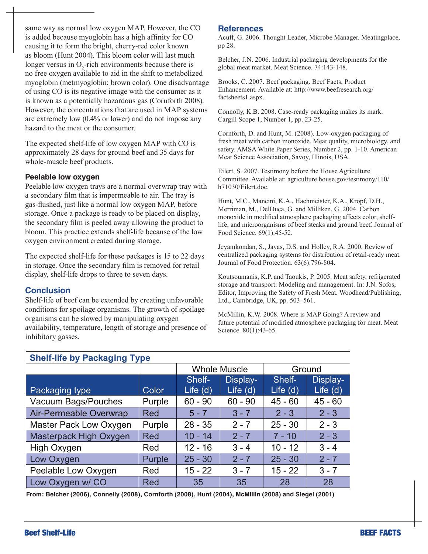same way as normal low oxygen MAP. However, the CO is added because myoglobin has a high affinity for CO causing it to form the bright, cherry-red color known as bloom (Hunt 2004). This bloom color will last much longer versus in  $O_2$ -rich environments because there is no free oxygen available to aid in the shift to metabolized myoglobin (metmyoglobin; brown color). One disadvantage of using CO is its negative image with the consumer as it is known as a potentially hazardous gas (Cornforth 2008). However, the concentrations that are used in MAP systems are extremely low (0.4% or lower) and do not impose any hazard to the meat or the consumer.

The expected shelf-life of low oxygen MAP with CO is approximately 28 days for ground beef and 35 days for whole-muscle beef products.

#### **Peelable low oxygen**

Peelable low oxygen trays are a normal overwrap tray with a secondary film that is impermeable to air. The tray is gas-flushed, just like a normal low oxygen MAP, before storage. Once a package is ready to be placed on display, the secondary film is peeled away allowing the product to bloom. This practice extends shelf-life because of the low oxygen environment created during storage.

The expected shelf-life for these packages is 15 to 22 days in storage. Once the secondary film is removed for retail display, shelf-life drops to three to seven days.

## **Conclusion**

Shelf-life of beef can be extended by creating unfavorable conditions for spoilage organisms. The growth of spoilage organisms can be slowed by manipulating oxygen availability, temperature, length of storage and presence of inhibitory gasses.

#### **References**

Acuff, G. 2006. Thought Leader, Microbe Manager. Meatingplace, pp 28.

Belcher, J.N. 2006. Industrial packaging developments for the global meat market. Meat Science. 74:143-148.

Brooks, C. 2007. Beef packaging. Beef Facts, Product Enhancement. Available at: http://www.beefresearch.org/ factsheets1.aspx.

Connolly, K.B. 2008. Case-ready packaging makes its mark. Cargill Scope 1, Number 1, pp. 23-25.

Cornforth, D. and Hunt, M. (2008). Low-oxygen packaging of fresh meat with carbon monoxide. Meat quality, microbiology, and safety. AMSA White Paper Series, Number 2, pp. 1-10. American Meat Science Association, Savoy, Illinois, USA.

Eilert, S. 2007. Testimony before the House Agriculture Committee. Available at: agriculture.house.gov/testimony/110/ h71030/Eilert.doc.

Hunt, M.C., Mancini, K.A., Hachmeister, K.A., Kropf, D.H., Merriman, M., DelDuca, G. and Milliken, G. 2004. Carbon monoxide in modified atmosphere packaging affects color, shelflife, and microorganisms of beef steaks and ground beef. Journal of Food Science. 69(1):45-52.

Jeyamkondan, S., Jayas, D.S. and Holley, R.A. 2000. Review of centralized packaging systems for distribution of retail-ready meat. Journal of Food Protection. 63(6):796-804.

Koutsoumanis, K.P. and Taoukis, P. 2005. Meat safety, refrigerated storage and transport: Modeling and management. In: J.N. Sofos, Editor, Improving the Safety of Fresh Meat. Woodhead/Publishing, Ltd., Cambridge, UK, pp. 503–561.

McMillin, K.W. 2008. Where is MAP Going? A review and future potential of modified atmosphere packaging for meat. Meat Science. 80(1):43-65.

| <b>Shelf-life by Packaging Type</b> |            |                     |           |            |            |
|-------------------------------------|------------|---------------------|-----------|------------|------------|
|                                     |            | <b>Whole Muscle</b> |           | Ground     |            |
|                                     |            | Shelf-              | Display-  | Shelf-     | Display-   |
| <b>Packaging type</b>               | Color      | Life $(d)$          | Life (d)  | Life $(d)$ | Life $(d)$ |
| Vacuum Bags/Pouches                 | Purple     | $60 - 90$           | $60 - 90$ | $45 - 60$  | $45 - 60$  |
| Air-Permeable Overwrap              | Red        | $5 - 7$             | $3 - 7$   | $2 - 3$    | $2 - 3$    |
| Master Pack Low Oxygen              | Purple     | $28 - 35$           | $2 - 7$   | $25 - 30$  | $2 - 3$    |
| Masterpack High Oxygen              | <b>Red</b> | $10 - 14$           | $2 - 7$   | $7 - 10$   | $2 - 3$    |
| High Oxygen                         | Red        | $12 - 16$           | $3 - 4$   | $10 - 12$  | $3 - 4$    |
| Low Oxygen                          | Purple     | $25 - 30$           | $2 - 7$   | $25 - 30$  | $2 - 7$    |
| Peelable Low Oxygen                 | Red        | $15 - 22$           | $3 - 7$   | $15 - 22$  | $3 - 7$    |
| Low Oxygen w/ CO                    | Red        | 35                  | 35        | 28         | 28         |

**From: Belcher (2006), Connelly (2008), Cornforth (2008), Hunt (2004), McMillin (2008) and Siegel (2001)**